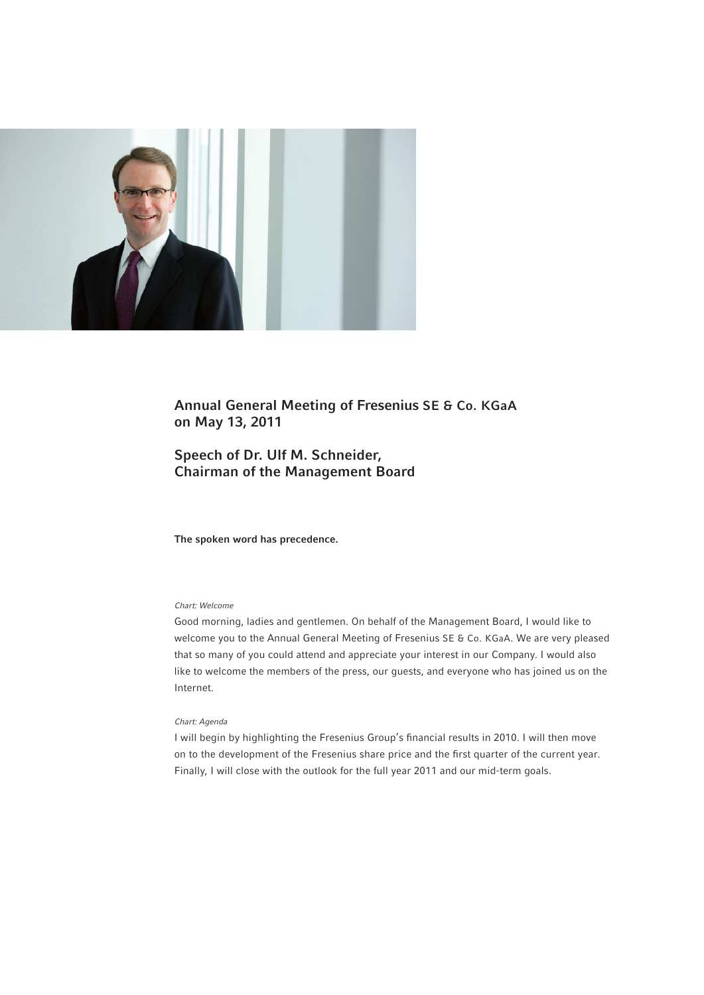

# Annual General Meeting of Fresenius SE & Co. KGaA on May 13, 2011

# Speech of Dr. Ulf M. Schneider, Chairman of the Management Board

The spoken word has precedence.

# *Chart: Welcome*

Good morning, ladies and gentlemen. On behalf of the Management Board, I would like to welcome you to the Annual General Meeting of Fresenius SE & Co. KGaA. We are very pleased that so many of you could attend and appreciate your interest in our Company. I would also like to welcome the members of the press, our guests, and everyone who has joined us on the Internet.

# *Chart: Agenda*

I will begin by highlighting the Fresenius Group's financial results in 2010. I will then move on to the development of the Fresenius share price and the first quarter of the current year. Finally, I will close with the outlook for the full year 2011 and our mid-term goals.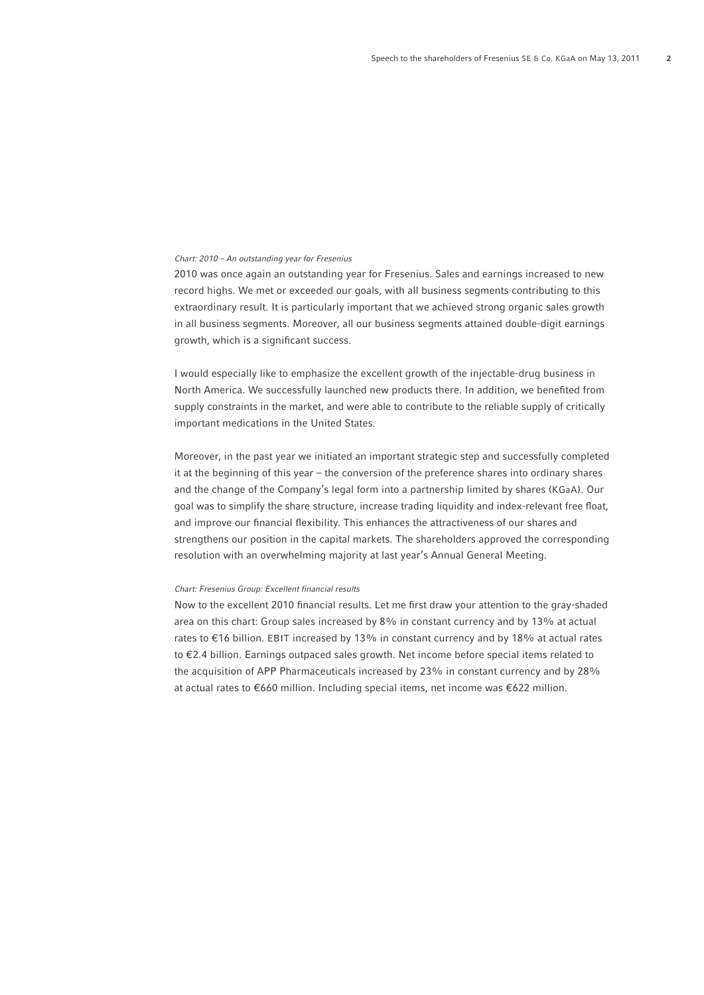# *Chart: 2010 – An outstanding year for Fresenius*

2010 was once again an outstanding year for Fresenius. Sales and earnings increased to new record highs. We met or exceeded our goals, with all business segments contributing to this extraordinary result. It is particularly important that we achieved strong organic sales growth in all business segments. Moreover, all our business segments attained double-digit earnings growth, which is a significant success.

I would especially like to emphasize the excellent growth of the injectable-drug business in North America. We successfully launched new products there. In addition, we benefited from supply constraints in the market, and were able to contribute to the reliable supply of critically important medications in the United States.

Moreover, in the past year we initiated an important strategic step and successfully completed it at the beginning of this year – the conversion of the preference shares into ordinary shares and the change of the Company's legal form into a partnership limited by shares (KGaA). Our goal was to simplify the share structure, increase trading liquidity and index-relevant free float, and improve our financial flexibility. This enhances the attractiveness of our shares and strengthens our position in the capital markets. The shareholders approved the corresponding resolution with an overwhelming majority at last year's Annual General Meeting.

# *Chart: Fresenius Group: Excellent financial results*

Now to the excellent 2010 financial results. Let me first draw your attention to the gray-shaded area on this chart: Group sales increased by 8% in constant currency and by 13% at actual rates to €16 billion. EBIT increased by 13% in constant currency and by 18% at actual rates to €2.4 billion. Earnings outpaced sales growth. Net income before special items related to the acquisition of APP Pharmaceuticals increased by 23% in constant currency and by 28% at actual rates to €660 million. Including special items, net income was €622 million.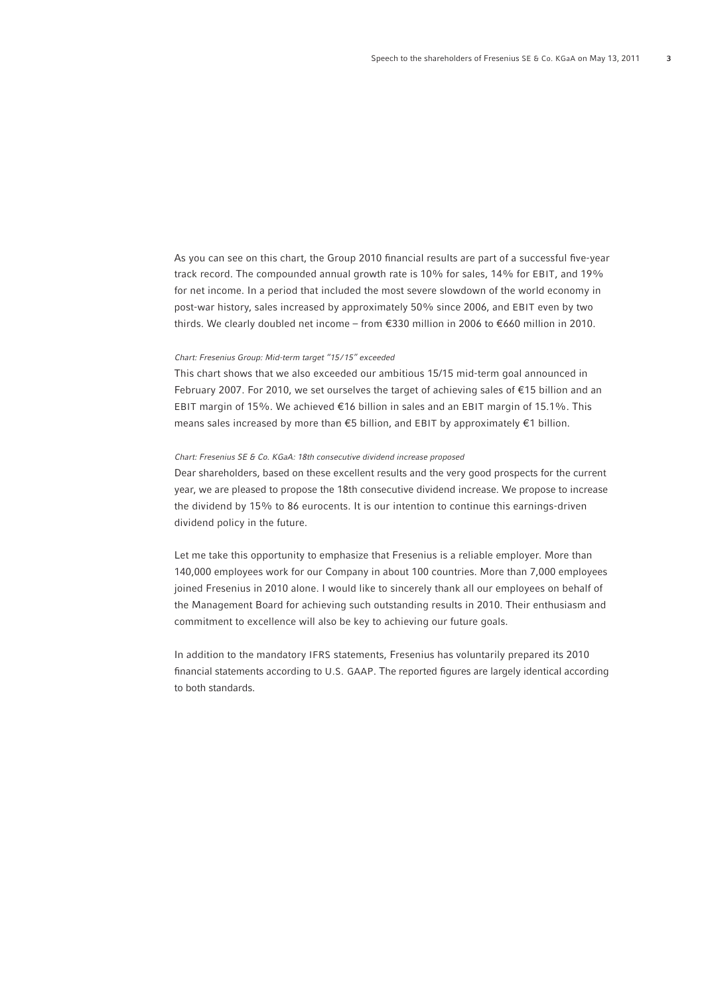As you can see on this chart, the Group 2010 financial results are part of a successful five-year track record. The compounded annual growth rate is 10% for sales, 14% for EBIT, and 19% for net income. In a period that included the most severe slowdown of the world economy in post-war history, sales increased by approximately 50% since 2006, and EBIT even by two thirds. We clearly doubled net income – from €330 million in 2006 to €660 million in 2010.

# *Chart: Fresenius Group: Mid-term target "15 / 15" exceeded*

This chart shows that we also exceeded our ambitious 15/15 mid-term goal announced in February 2007. For 2010, we set ourselves the target of achieving sales of €15 billion and an EBIT margin of 15%. We achieved €16 billion in sales and an EBIT margin of 15.1%. This means sales increased by more than €5 billion, and EBIT by approximately €1 billion.

### *Chart: Fresenius SE & Co. KGaA: 18th consecutive dividend increase proposed*

Dear shareholders, based on these excellent results and the very good prospects for the current year, we are pleased to propose the 18th consecutive dividend increase. We propose to increase the dividend by 15% to 86 eurocents. It is our intention to continue this earnings-driven dividend policy in the future.

Let me take this opportunity to emphasize that Fresenius is a reliable employer. More than 140,000 employees work for our Company in about 100 countries. More than 7,000 employees joined Fresenius in 2010 alone. I would like to sincerely thank all our employees on behalf of the Management Board for achieving such outstanding results in 2010. Their enthusiasm and commitment to excellence will also be key to achieving our future goals.

In addition to the mandatory IFRS statements, Fresenius has voluntarily prepared its 2010 financial statements according to U.S. GAAP. The reported figures are largely identical according to both standards.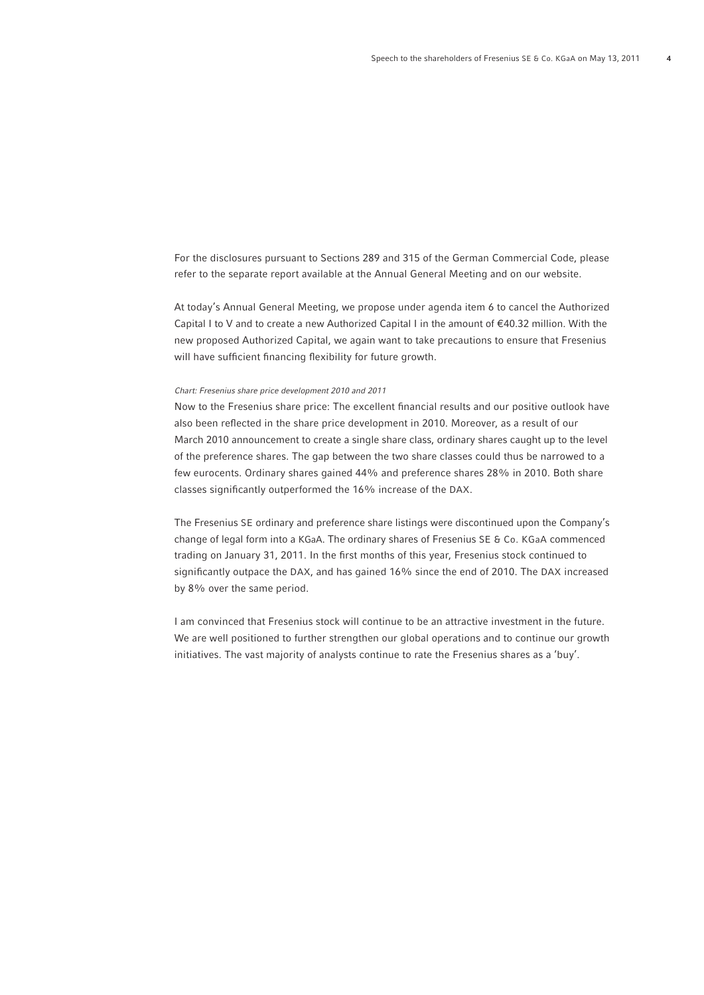For the disclosures pursuant to Sections 289 and 315 of the German Commercial Code, please refer to the separate report available at the Annual General Meeting and on our website.

At today's Annual General Meeting, we propose under agenda item 6 to cancel the Authorized Capital I to V and to create a new Authorized Capital I in the amount of €40.32 million. With the new proposed Authorized Capital, we again want to take precautions to ensure that Fresenius will have sufficient financing flexibility for future growth.

#### *Chart: Fresenius share price development 2010 and 2011*

Now to the Fresenius share price: The excellent financial results and our positive outlook have also been reflected in the share price development in 2010. Moreover, as a result of our March 2010 announcement to create a single share class, ordinary shares caught up to the level of the preference shares. The gap between the two share classes could thus be narrowed to a few eurocents. Ordinary shares gained 44% and preference shares 28% in 2010. Both share classes significantly outperformed the 16% increase of the DAX.

The Fresenius SE ordinary and preference share listings were discontinued upon the Company's change of legal form into a KGaA. The ordinary shares of Fresenius SE & Co. KGaA commenced trading on January 31, 2011. In the first months of this year, Fresenius stock continued to significantly outpace the DAX, and has gained 16% since the end of 2010. The DAX increased by 8% over the same period.

I am convinced that Fresenius stock will continue to be an attractive investment in the future. We are well positioned to further strengthen our global operations and to continue our growth initiatives. The vast majority of analysts continue to rate the Fresenius shares as a 'buy'.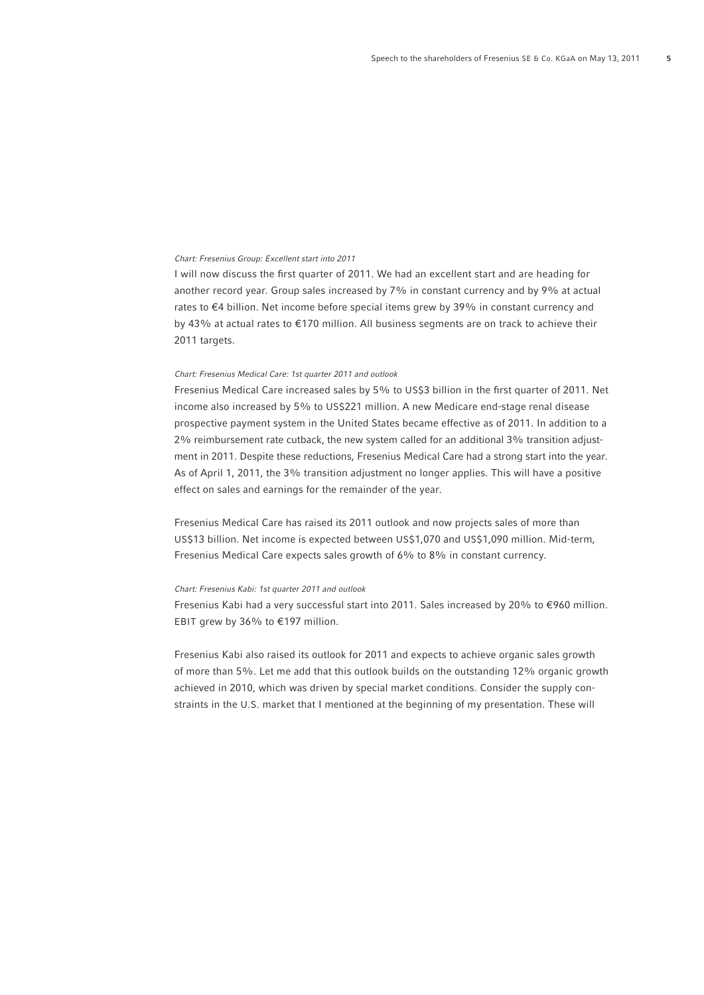## *Chart: Fresenius Group: Excellent start into 2011*

I will now discuss the first quarter of 2011. We had an excellent start and are heading for another record year. Group sales increased by 7% in constant currency and by 9% at actual rates to €4 billion. Net income before special items grew by 39% in constant currency and by 43% at actual rates to €170 million. All business segments are on track to achieve their 2011 targets.

## *Chart: Fresenius Medical Care: 1st quarter 2011 and outlook*

Fresenius Medical Care increased sales by 5% to US\$3 billion in the first quarter of 2011. Net income also increased by 5% to US\$221 million. A new Medicare end-stage renal disease prospective payment system in the United States became effective as of 2011. In addition to a 2% reimbursement rate cutback, the new system called for an additional 3% transition adjustment in 2011. Despite these reductions, Fresenius Medical Care had a strong start into the year. As of April 1, 2011, the 3% transition adjustment no longer applies. This will have a positive effect on sales and earnings for the remainder of the year.

Fresenius Medical Care has raised its 2011 outlook and now projects sales of more than US\$13 billion. Net income is expected between US\$1,070 and US\$1,090 million. Mid-term, Fresenius Medical Care expects sales growth of 6% to 8% in constant currency.

## *Chart: Fresenius Kabi: 1st quarter 2011 and outlook*

Fresenius Kabi had a very successful start into 2011. Sales increased by 20% to €960 million. EBIT grew by 36% to €197 million.

Fresenius Kabi also raised its outlook for 2011 and expects to achieve organic sales growth of more than 5%. Let me add that this outlook builds on the outstanding 12% organic growth achieved in 2010, which was driven by special market conditions. Consider the supply constraints in the U.S. market that I mentioned at the beginning of my presentation. These will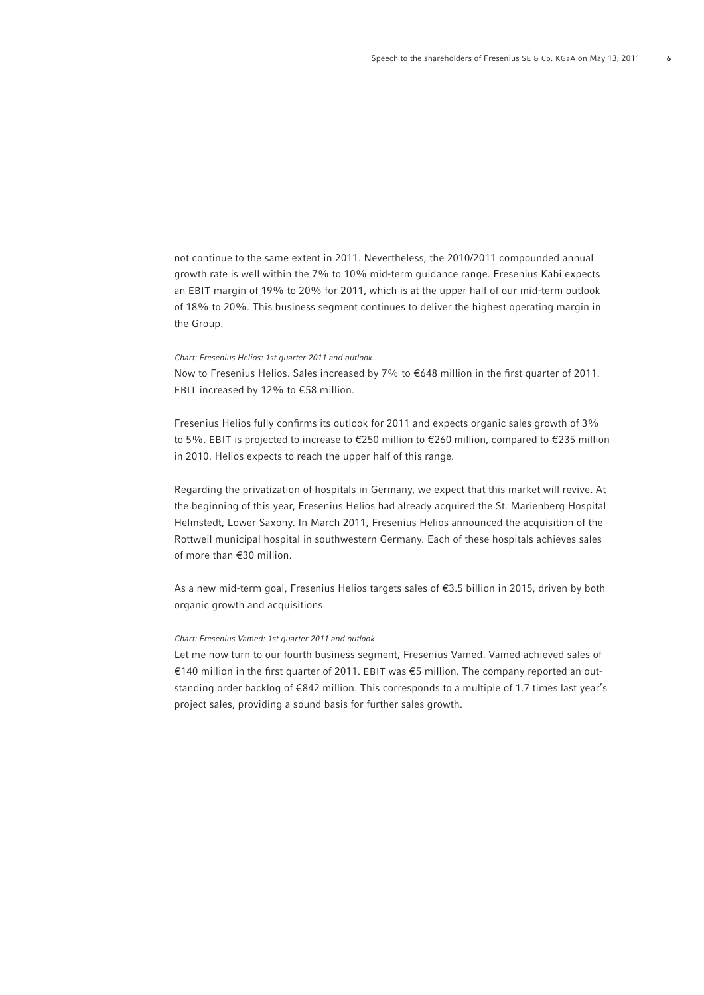not continue to the same extent in 2011. Nevertheless, the 2010/2011 compounded annual growth rate is well within the 7% to 10% mid-term guidance range. Fresenius Kabi expects an EBIT margin of 19% to 20% for 2011, which is at the upper half of our mid-term outlook of 18% to 20%. This business segment continues to deliver the highest operating margin in the Group.

#### *Chart: Fresenius Helios: 1st quarter 2011 and outlook*

Now to Fresenius Helios. Sales increased by 7% to  $€648$  million in the first quarter of 2011. EBIT increased by 12% to €58 million.

Fresenius Helios fully confirms its outlook for 2011 and expects organic sales growth of 3% to 5%. EBIT is projected to increase to €250 million to €260 million, compared to €235 million in 2010. Helios expects to reach the upper half of this range.

Regarding the privatization of hospitals in Germany, we expect that this market will revive. At the beginning of this year, Fresenius Helios had already acquired the St. Marienberg Hospital Helmstedt, Lower Saxony. In March 2011, Fresenius Helios announced the acquisition of the Rottweil municipal hospital in southwestern Germany. Each of these hospitals achieves sales of more than €30 million.

As a new mid-term goal, Fresenius Helios targets sales of €3.5 billion in 2015, driven by both organic growth and acquisitions.

# *Chart: Fresenius Vamed: 1st quarter 2011 and outlook*

Let me now turn to our fourth business segment, Fresenius Vamed. Vamed achieved sales of €140 million in the first quarter of 2011. EBIT was €5 million. The company reported an outstanding order backlog of €842 million. This corresponds to a multiple of 1.7 times last year's project sales, providing a sound basis for further sales growth.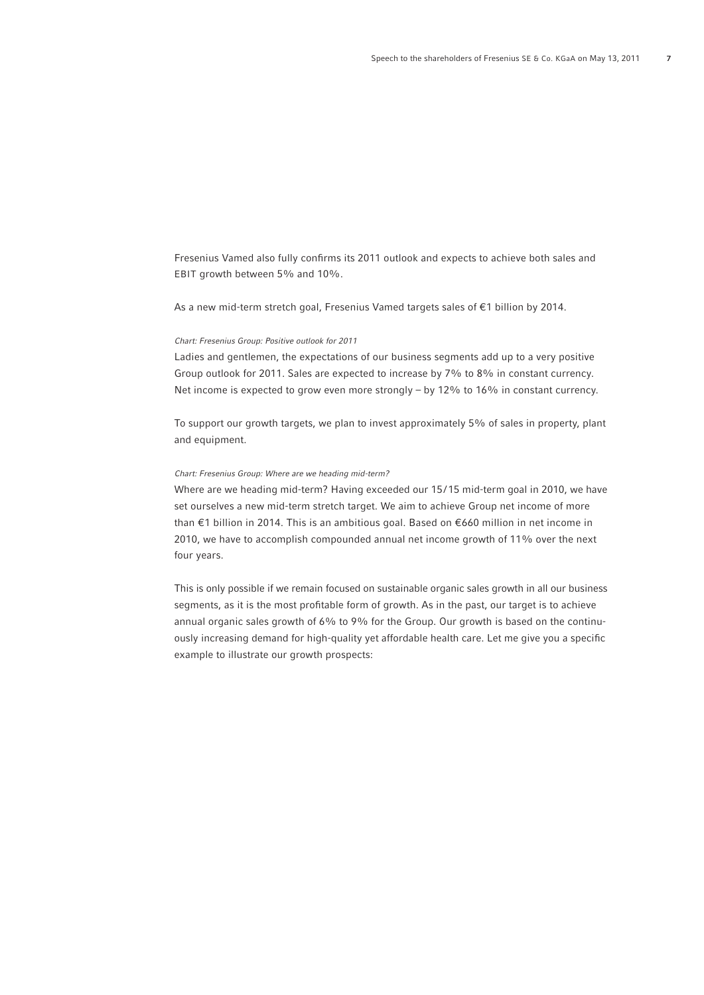Fresenius Vamed also fully confirms its 2011 outlook and expects to achieve both sales and EBIT growth between 5% and 10%.

As a new mid-term stretch goal, Fresenius Vamed targets sales of €1 billion by 2014.

## *Chart: Fresenius Group: Positive outlook for 2011*

Ladies and gentlemen, the expectations of our business segments add up to a very positive Group outlook for 2011. Sales are expected to increase by 7% to 8% in constant currency. Net income is expected to grow even more strongly – by 12% to 16% in constant currency.

To support our growth targets, we plan to invest approximately 5% of sales in property, plant and equipment.

# *Chart: Fresenius Group: Where are we heading mid-term?*

Where are we heading mid-term? Having exceeded our 15/15 mid-term goal in 2010, we have set ourselves a new mid-term stretch target. We aim to achieve Group net income of more than €1 billion in 2014. This is an ambitious goal. Based on €660 million in net income in 2010, we have to accomplish compounded annual net income growth of 11% over the next four years.

This is only possible if we remain focused on sustainable organic sales growth in all our business segments, as it is the most profitable form of growth. As in the past, our target is to achieve annual organic sales growth of 6% to 9% for the Group. Our growth is based on the continuously increasing demand for high-quality yet affordable health care. Let me give you a specific example to illustrate our growth prospects: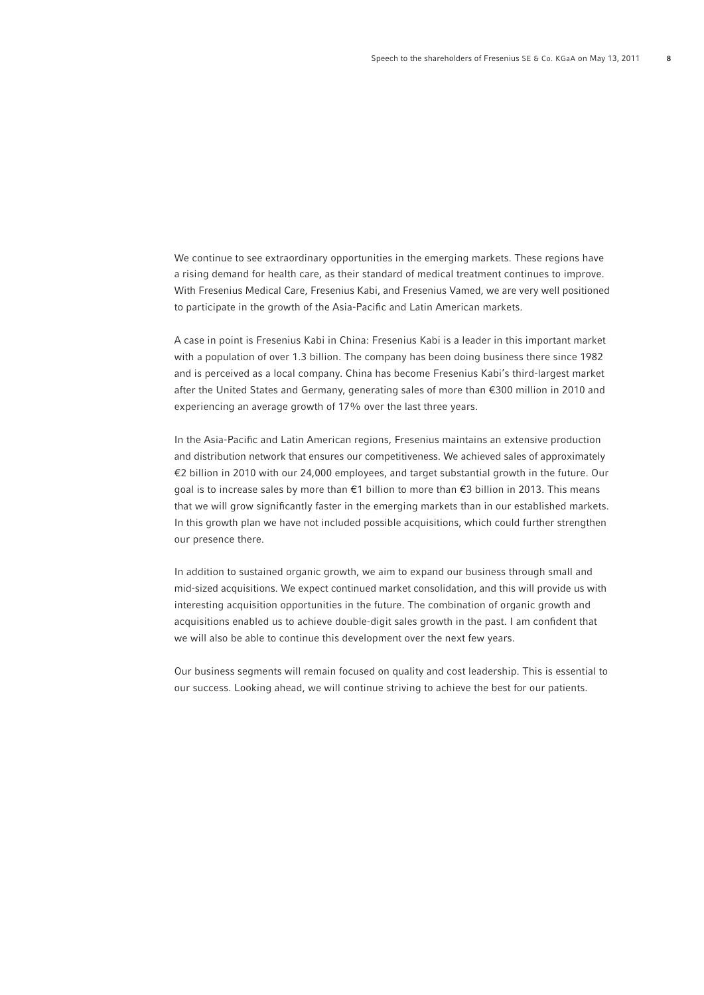We continue to see extraordinary opportunities in the emerging markets. These regions have a rising demand for health care, as their standard of medical treatment continues to improve. With Fresenius Medical Care, Fresenius Kabi, and Fresenius Vamed, we are very well positioned to participate in the growth of the Asia-Pacific and Latin American markets.

A case in point is Fresenius Kabi in China: Fresenius Kabi is a leader in this important market with a population of over 1.3 billion. The company has been doing business there since 1982 and is perceived as a local company. China has become Fresenius Kabi's third-largest market after the United States and Germany, generating sales of more than €300 million in 2010 and experiencing an average growth of 17% over the last three years.

In the Asia-Pacifi c and Latin American regions, Fresenius maintains an extensive production and distribution network that ensures our competitiveness. We achieved sales of approximately €2 billion in 2010 with our 24,000 employees, and target substantial growth in the future. Our goal is to increase sales by more than €1 billion to more than €3 billion in 2013. This means that we will grow significantly faster in the emerging markets than in our established markets. In this growth plan we have not included possible acquisitions, which could further strengthen our presence there.

In addition to sustained organic growth, we aim to expand our business through small and mid-sized acquisitions. We expect continued market consolidation, and this will provide us with interesting acquisition opportunities in the future. The combination of organic growth and acquisitions enabled us to achieve double-digit sales growth in the past. I am confident that we will also be able to continue this development over the next few years.

Our business segments will remain focused on quality and cost leadership. This is essential to our success. Looking ahead, we will continue striving to achieve the best for our patients.